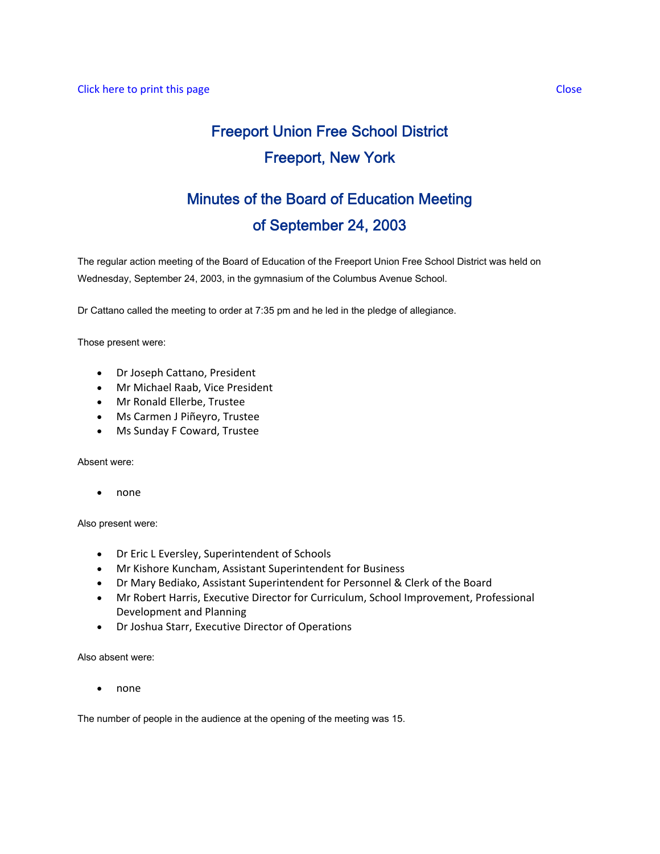# Freeport Union Free School District Freeport, New York

# Minutes of the Board of Education Meeting of September 24, 2003

The regular action meeting of the Board of Education of the Freeport Union Free School District was held on Wednesday, September 24, 2003, in the gymnasium of the Columbus Avenue School.

Dr Cattano called the meeting to order at 7:35 pm and he led in the pledge of allegiance.

Those present were:

- Dr Joseph Cattano, President
- Mr Michael Raab, Vice President
- Mr Ronald Ellerbe, Trustee
- Ms Carmen J Piñeyro, Trustee
- Ms Sunday F Coward, Trustee

Absent were:

• none

Also present were:

- Dr Eric L Eversley, Superintendent of Schools
- Mr Kishore Kuncham, Assistant Superintendent for Business
- Dr Mary Bediako, Assistant Superintendent for Personnel & Clerk of the Board
- Mr Robert Harris, Executive Director for Curriculum, School Improvement, Professional Development and Planning
- Dr Joshua Starr, Executive Director of Operations

Also absent were:

• none

The number of people in the audience at the opening of the meeting was 15.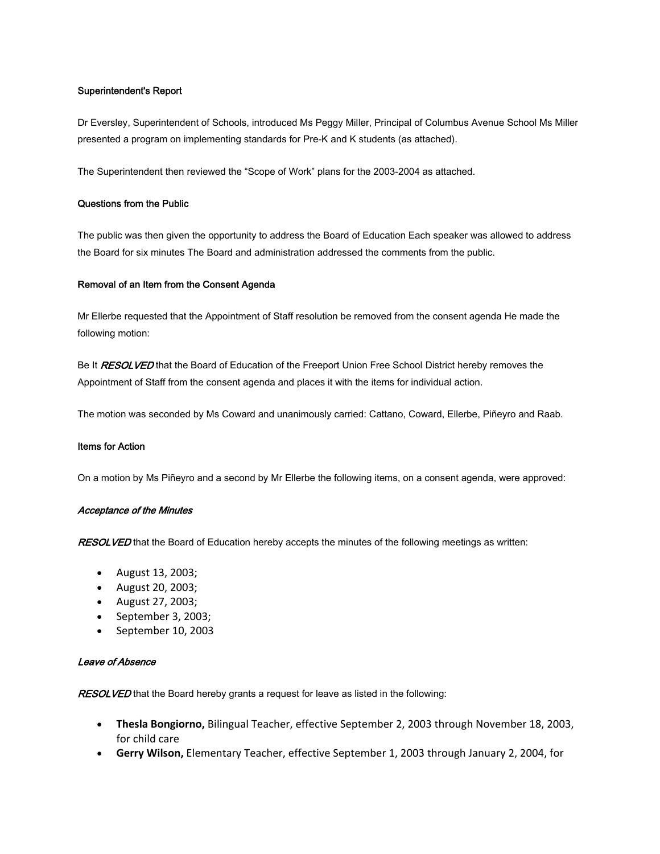# Superintendent's Report

Dr Eversley, Superintendent of Schools, introduced Ms Peggy Miller, Principal of Columbus Avenue School Ms Miller presented a program on implementing standards for Pre-K and K students (as attached).

The Superintendent then reviewed the "Scope of Work" plans for the 2003-2004 as attached.

# Questions from the Public

The public was then given the opportunity to address the Board of Education Each speaker was allowed to address the Board for six minutes The Board and administration addressed the comments from the public.

# Removal of an Item from the Consent Agenda

Mr Ellerbe requested that the Appointment of Staff resolution be removed from the consent agenda He made the following motion:

Be It RESOLVED that the Board of Education of the Freeport Union Free School District hereby removes the Appointment of Staff from the consent agenda and places it with the items for individual action.

The motion was seconded by Ms Coward and unanimously carried: Cattano, Coward, Ellerbe, Piñeyro and Raab.

#### Items for Action

On a motion by Ms Piñeyro and a second by Mr Ellerbe the following items, on a consent agenda, were approved:

#### Acceptance of the Minutes

RESOLVED that the Board of Education hereby accepts the minutes of the following meetings as written:

- August 13, 2003;
- August 20, 2003;
- August 27, 2003;
- September 3, 2003;
- September 10, 2003

#### Leave of Absence

RESOLVED that the Board hereby grants a request for leave as listed in the following:

- **Thesla Bongiorno,** Bilingual Teacher, effective September 2, 2003 through November 18, 2003, for child care
- **Gerry Wilson,** Elementary Teacher, effective September 1, 2003 through January 2, 2004, for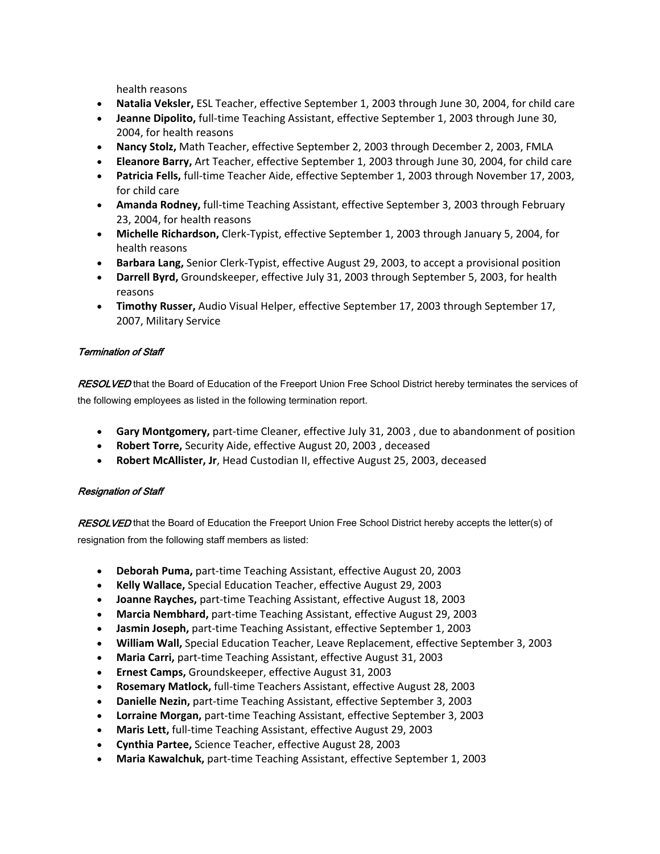health reasons

- **Natalia Veksler,** ESL Teacher, effective September 1, 2003 through June 30, 2004, for child care
- **Jeanne Dipolito,** full‐time Teaching Assistant, effective September 1, 2003 through June 30, 2004, for health reasons
- **Nancy Stolz,** Math Teacher, effective September 2, 2003 through December 2, 2003, FMLA
- **Eleanore Barry,** Art Teacher, effective September 1, 2003 through June 30, 2004, for child care
- **Patricia Fells,** full‐time Teacher Aide, effective September 1, 2003 through November 17, 2003, for child care
- **Amanda Rodney,** full‐time Teaching Assistant, effective September 3, 2003 through February 23, 2004, for health reasons
- **Michelle Richardson,** Clerk‐Typist, effective September 1, 2003 through January 5, 2004, for health reasons
- **Barbara Lang,** Senior Clerk‐Typist, effective August 29, 2003, to accept a provisional position
- **Darrell Byrd,** Groundskeeper, effective July 31, 2003 through September 5, 2003, for health reasons
- **Timothy Russer,** Audio Visual Helper, effective September 17, 2003 through September 17, 2007, Military Service

# Termination of Staff

RESOLVED that the Board of Education of the Freeport Union Free School District hereby terminates the services of the following employees as listed in the following termination report.

- **Gary Montgomery,** part‐time Cleaner, effective July 31, 2003 , due to abandonment of position
- **Robert Torre,** Security Aide, effective August 20, 2003 , deceased
- **Robert McAllister, Jr**, Head Custodian II, effective August 25, 2003, deceased

# Resignation of Staff

RESOLVED that the Board of Education the Freeport Union Free School District hereby accepts the letter(s) of resignation from the following staff members as listed:

- **Deborah Puma,** part‐time Teaching Assistant, effective August 20, 2003
- **Kelly Wallace,** Special Education Teacher, effective August 29, 2003
- **Joanne Rayches,** part‐time Teaching Assistant, effective August 18, 2003
- **Marcia Nembhard,** part‐time Teaching Assistant, effective August 29, 2003
- **Jasmin Joseph,** part‐time Teaching Assistant, effective September 1, 2003
- **William Wall,** Special Education Teacher, Leave Replacement, effective September 3, 2003
- **Maria Carri,** part‐time Teaching Assistant, effective August 31, 2003
- **Ernest Camps,** Groundskeeper, effective August 31, 2003
- **Rosemary Matlock,** full‐time Teachers Assistant, effective August 28, 2003
- **Danielle Nezin,** part‐time Teaching Assistant, effective September 3, 2003
- **Lorraine Morgan,** part‐time Teaching Assistant, effective September 3, 2003
- **Maris Lett,** full‐time Teaching Assistant, effective August 29, 2003
- **Cynthia Partee,** Science Teacher, effective August 28, 2003
- **Maria Kawalchuk,** part‐time Teaching Assistant, effective September 1, 2003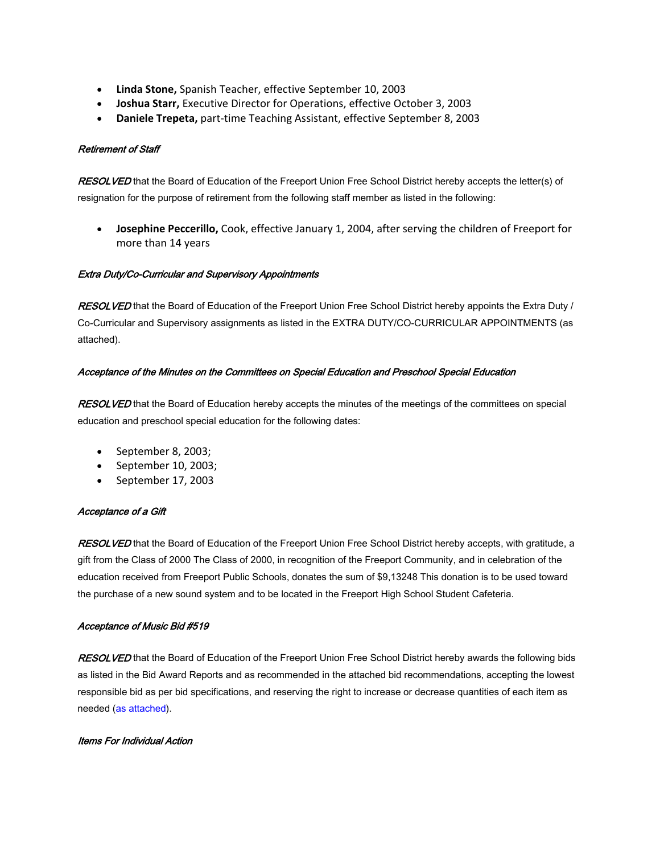- **Linda Stone,** Spanish Teacher, effective September 10, 2003
- **Joshua Starr,** Executive Director for Operations, effective October 3, 2003
- **Daniele Trepeta,** part‐time Teaching Assistant, effective September 8, 2003

# Retirement of Staff

RESOLVED that the Board of Education of the Freeport Union Free School District hereby accepts the letter(s) of resignation for the purpose of retirement from the following staff member as listed in the following:

• **Josephine Peccerillo,** Cook, effective January 1, 2004, after serving the children of Freeport for more than 14 years

# Extra Duty/Co-Curricular and Supervisory Appointments

RESOLVED that the Board of Education of the Freeport Union Free School District hereby appoints the Extra Duty / Co-Curricular and Supervisory assignments as listed in the EXTRA DUTY/CO-CURRICULAR APPOINTMENTS (as attached).

# Acceptance of the Minutes on the Committees on Special Education and Preschool Special Education

RESOLVED that the Board of Education hereby accepts the minutes of the meetings of the committees on special education and preschool special education for the following dates:

- September 8, 2003;
- September 10, 2003;
- September 17, 2003

#### Acceptance of a Gift

RESOLVED that the Board of Education of the Freeport Union Free School District hereby accepts, with gratitude, a gift from the Class of 2000 The Class of 2000, in recognition of the Freeport Community, and in celebration of the education received from Freeport Public Schools, donates the sum of \$9,13248 This donation is to be used toward the purchase of a new sound system and to be located in the Freeport High School Student Cafeteria.

#### Acceptance of Music Bid #519

RESOLVED that the Board of Education of the Freeport Union Free School District hereby awards the following bids as listed in the Bid Award Reports and as recommended in the attached bid recommendations, accepting the lowest responsible bid as per bid specifications, and reserving the right to increase or decrease quantities of each item as needed (as attached).

# Items For Individual Action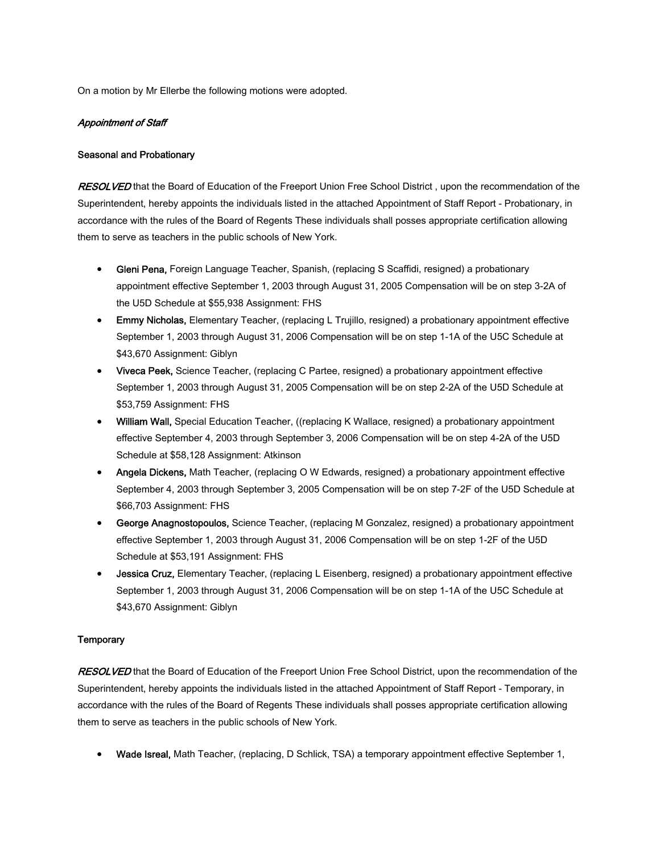On a motion by Mr Ellerbe the following motions were adopted.

#### Appointment of Staff

#### Seasonal and Probationary

**RESOLVED** that the Board of Education of the Freeport Union Free School District, upon the recommendation of the Superintendent, hereby appoints the individuals listed in the attached Appointment of Staff Report - Probationary, in accordance with the rules of the Board of Regents These individuals shall posses appropriate certification allowing them to serve as teachers in the public schools of New York.

- Gleni Pena, Foreign Language Teacher, Spanish, (replacing S Scaffidi, resigned) a probationary appointment effective September 1, 2003 through August 31, 2005 Compensation will be on step 3-2A of the U5D Schedule at \$55,938 Assignment: FHS
- Emmy Nicholas, Elementary Teacher, (replacing L Trujillo, resigned) a probationary appointment effective September 1, 2003 through August 31, 2006 Compensation will be on step 1-1A of the U5C Schedule at \$43,670 Assignment: Giblyn
- Viveca Peek, Science Teacher, (replacing C Partee, resigned) a probationary appointment effective September 1, 2003 through August 31, 2005 Compensation will be on step 2-2A of the U5D Schedule at \$53,759 Assignment: FHS
- William Wall, Special Education Teacher, ((replacing K Wallace, resigned) a probationary appointment effective September 4, 2003 through September 3, 2006 Compensation will be on step 4-2A of the U5D Schedule at \$58,128 Assignment: Atkinson
- Angela Dickens, Math Teacher, (replacing O W Edwards, resigned) a probationary appointment effective September 4, 2003 through September 3, 2005 Compensation will be on step 7-2F of the U5D Schedule at \$66,703 Assignment: FHS
- George Anagnostopoulos, Science Teacher, (replacing M Gonzalez, resigned) a probationary appointment effective September 1, 2003 through August 31, 2006 Compensation will be on step 1-2F of the U5D Schedule at \$53,191 Assignment: FHS
- Jessica Cruz, Elementary Teacher, (replacing L Eisenberg, resigned) a probationary appointment effective September 1, 2003 through August 31, 2006 Compensation will be on step 1-1A of the U5C Schedule at \$43,670 Assignment: Giblyn

#### **Temporary**

RESOLVED that the Board of Education of the Freeport Union Free School District, upon the recommendation of the Superintendent, hereby appoints the individuals listed in the attached Appointment of Staff Report - Temporary, in accordance with the rules of the Board of Regents These individuals shall posses appropriate certification allowing them to serve as teachers in the public schools of New York.

• Wade Isreal, Math Teacher, (replacing, D Schlick, TSA) a temporary appointment effective September 1,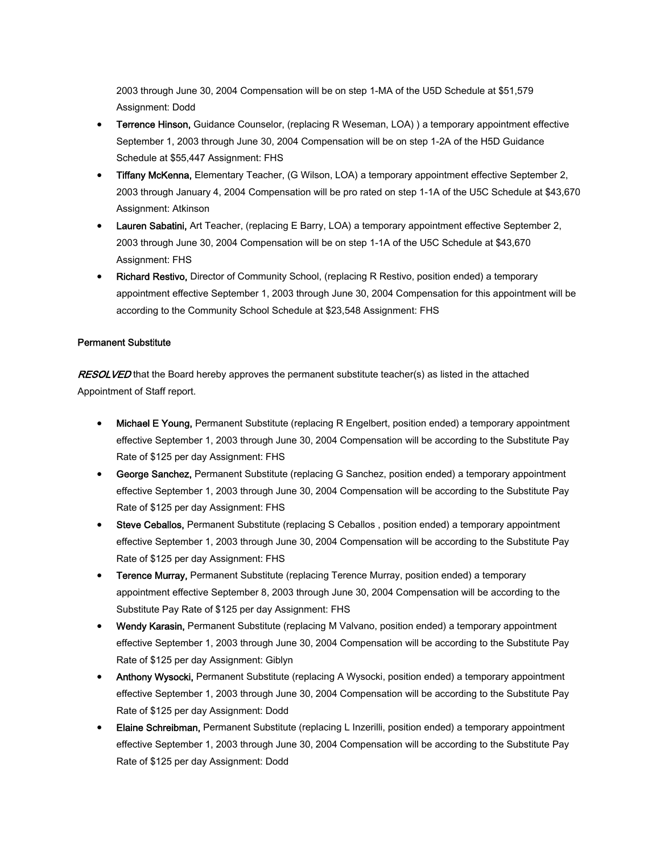2003 through June 30, 2004 Compensation will be on step 1-MA of the U5D Schedule at \$51,579 Assignment: Dodd

- Terrence Hinson, Guidance Counselor, (replacing R Weseman, LOA) ) a temporary appointment effective September 1, 2003 through June 30, 2004 Compensation will be on step 1-2A of the H5D Guidance Schedule at \$55,447 Assignment: FHS
- Tiffany McKenna, Elementary Teacher, (G Wilson, LOA) a temporary appointment effective September 2, 2003 through January 4, 2004 Compensation will be pro rated on step 1-1A of the U5C Schedule at \$43,670 Assignment: Atkinson
- Lauren Sabatini, Art Teacher, (replacing E Barry, LOA) a temporary appointment effective September 2, 2003 through June 30, 2004 Compensation will be on step 1-1A of the U5C Schedule at \$43,670 Assignment: FHS
- Richard Restivo, Director of Community School, (replacing R Restivo, position ended) a temporary appointment effective September 1, 2003 through June 30, 2004 Compensation for this appointment will be according to the Community School Schedule at \$23,548 Assignment: FHS

# Permanent Substitute

RESOLVED that the Board hereby approves the permanent substitute teacher(s) as listed in the attached Appointment of Staff report.

- Michael E Young, Permanent Substitute (replacing R Engelbert, position ended) a temporary appointment effective September 1, 2003 through June 30, 2004 Compensation will be according to the Substitute Pay Rate of \$125 per day Assignment: FHS
- George Sanchez, Permanent Substitute (replacing G Sanchez, position ended) a temporary appointment effective September 1, 2003 through June 30, 2004 Compensation will be according to the Substitute Pay Rate of \$125 per day Assignment: FHS
- Steve Ceballos, Permanent Substitute (replacing S Ceballos, position ended) a temporary appointment effective September 1, 2003 through June 30, 2004 Compensation will be according to the Substitute Pay Rate of \$125 per day Assignment: FHS
- Terence Murray, Permanent Substitute (replacing Terence Murray, position ended) a temporary appointment effective September 8, 2003 through June 30, 2004 Compensation will be according to the Substitute Pay Rate of \$125 per day Assignment: FHS
- Wendy Karasin, Permanent Substitute (replacing M Valvano, position ended) a temporary appointment effective September 1, 2003 through June 30, 2004 Compensation will be according to the Substitute Pay Rate of \$125 per day Assignment: Giblyn
- Anthony Wysocki, Permanent Substitute (replacing A Wysocki, position ended) a temporary appointment effective September 1, 2003 through June 30, 2004 Compensation will be according to the Substitute Pay Rate of \$125 per day Assignment: Dodd
- Elaine Schreibman, Permanent Substitute (replacing L Inzerilli, position ended) a temporary appointment effective September 1, 2003 through June 30, 2004 Compensation will be according to the Substitute Pay Rate of \$125 per day Assignment: Dodd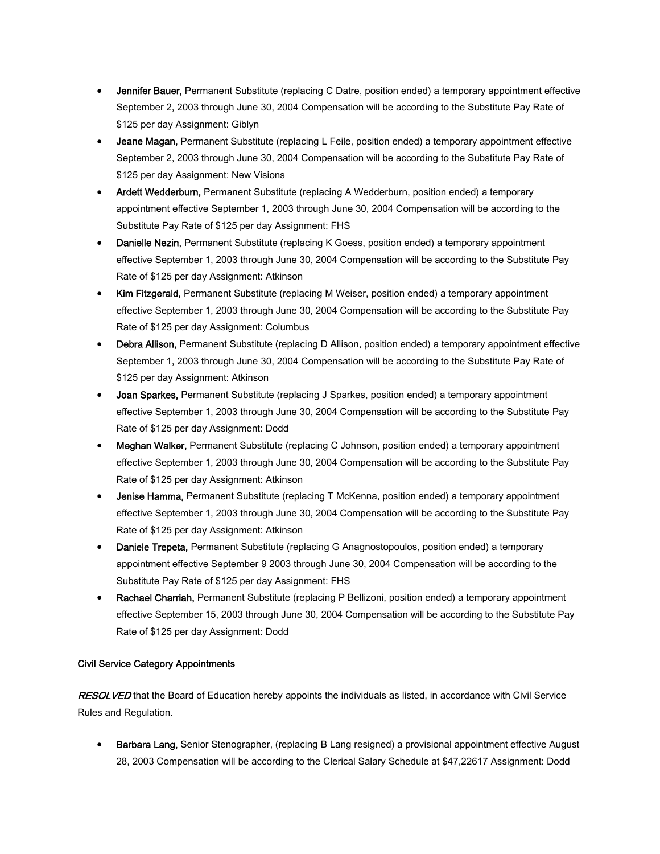- **Jennifer Bauer,** Permanent Substitute (replacing C Datre, position ended) a temporary appointment effective September 2, 2003 through June 30, 2004 Compensation will be according to the Substitute Pay Rate of \$125 per day Assignment: Giblyn
- Jeane Magan, Permanent Substitute (replacing L Feile, position ended) a temporary appointment effective September 2, 2003 through June 30, 2004 Compensation will be according to the Substitute Pay Rate of \$125 per day Assignment: New Visions
- Ardett Wedderburn, Permanent Substitute (replacing A Wedderburn, position ended) a temporary appointment effective September 1, 2003 through June 30, 2004 Compensation will be according to the Substitute Pay Rate of \$125 per day Assignment: FHS
- Danielle Nezin, Permanent Substitute (replacing K Goess, position ended) a temporary appointment effective September 1, 2003 through June 30, 2004 Compensation will be according to the Substitute Pay Rate of \$125 per day Assignment: Atkinson
- Kim Fitzgerald, Permanent Substitute (replacing M Weiser, position ended) a temporary appointment effective September 1, 2003 through June 30, 2004 Compensation will be according to the Substitute Pay Rate of \$125 per day Assignment: Columbus
- Debra Allison, Permanent Substitute (replacing D Allison, position ended) a temporary appointment effective September 1, 2003 through June 30, 2004 Compensation will be according to the Substitute Pay Rate of \$125 per day Assignment: Atkinson
- Joan Sparkes, Permanent Substitute (replacing J Sparkes, position ended) a temporary appointment effective September 1, 2003 through June 30, 2004 Compensation will be according to the Substitute Pay Rate of \$125 per day Assignment: Dodd
- Meghan Walker, Permanent Substitute (replacing C Johnson, position ended) a temporary appointment effective September 1, 2003 through June 30, 2004 Compensation will be according to the Substitute Pay Rate of \$125 per day Assignment: Atkinson
- Jenise Hamma, Permanent Substitute (replacing T McKenna, position ended) a temporary appointment effective September 1, 2003 through June 30, 2004 Compensation will be according to the Substitute Pay Rate of \$125 per day Assignment: Atkinson
- Daniele Trepeta, Permanent Substitute (replacing G Anagnostopoulos, position ended) a temporary appointment effective September 9 2003 through June 30, 2004 Compensation will be according to the Substitute Pay Rate of \$125 per day Assignment: FHS
- Rachael Charriah, Permanent Substitute (replacing P Bellizoni, position ended) a temporary appointment effective September 15, 2003 through June 30, 2004 Compensation will be according to the Substitute Pay Rate of \$125 per day Assignment: Dodd

# Civil Service Category Appointments

RESOLVED that the Board of Education hereby appoints the individuals as listed, in accordance with Civil Service Rules and Regulation.

• Barbara Lang, Senior Stenographer, (replacing B Lang resigned) a provisional appointment effective August 28, 2003 Compensation will be according to the Clerical Salary Schedule at \$47,22617 Assignment: Dodd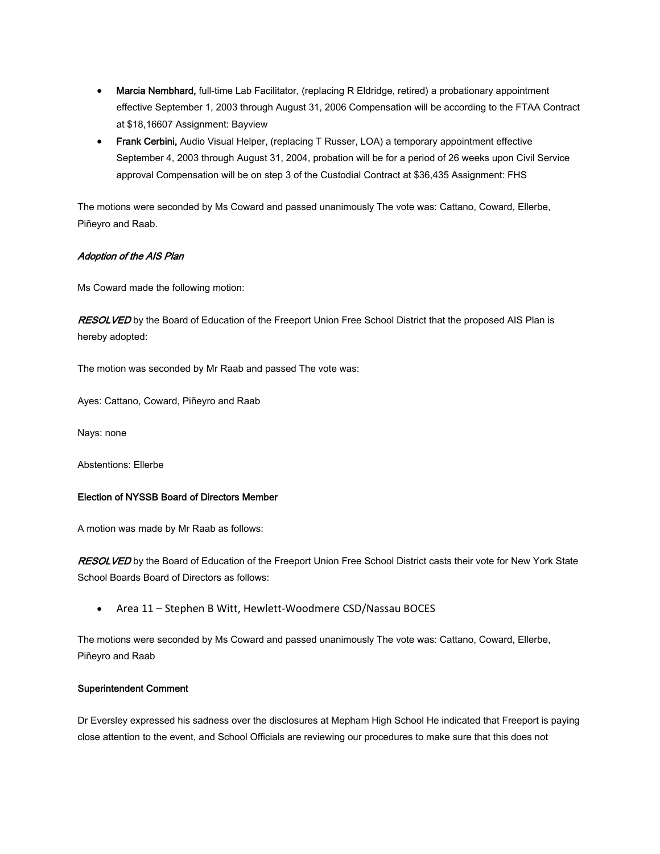- Marcia Nembhard, full-time Lab Facilitator, (replacing R Eldridge, retired) a probationary appointment effective September 1, 2003 through August 31, 2006 Compensation will be according to the FTAA Contract at \$18,16607 Assignment: Bayview
- Frank Cerbini, Audio Visual Helper, (replacing T Russer, LOA) a temporary appointment effective September 4, 2003 through August 31, 2004, probation will be for a period of 26 weeks upon Civil Service approval Compensation will be on step 3 of the Custodial Contract at \$36,435 Assignment: FHS

The motions were seconded by Ms Coward and passed unanimously The vote was: Cattano, Coward, Ellerbe, Piñeyro and Raab.

# Adoption of the AIS Plan

Ms Coward made the following motion:

RESOLVED by the Board of Education of the Freeport Union Free School District that the proposed AIS Plan is hereby adopted:

The motion was seconded by Mr Raab and passed The vote was:

Ayes: Cattano, Coward, Piñeyro and Raab

Nays: none

Abstentions: Ellerbe

#### Election of NYSSB Board of Directors Member

A motion was made by Mr Raab as follows:

RESOLVED by the Board of Education of the Freeport Union Free School District casts their vote for New York State School Boards Board of Directors as follows:

• Area 11 – Stephen B Witt, Hewlett‐Woodmere CSD/Nassau BOCES

The motions were seconded by Ms Coward and passed unanimously The vote was: Cattano, Coward, Ellerbe, Piñeyro and Raab

#### Superintendent Comment

Dr Eversley expressed his sadness over the disclosures at Mepham High School He indicated that Freeport is paying close attention to the event, and School Officials are reviewing our procedures to make sure that this does not